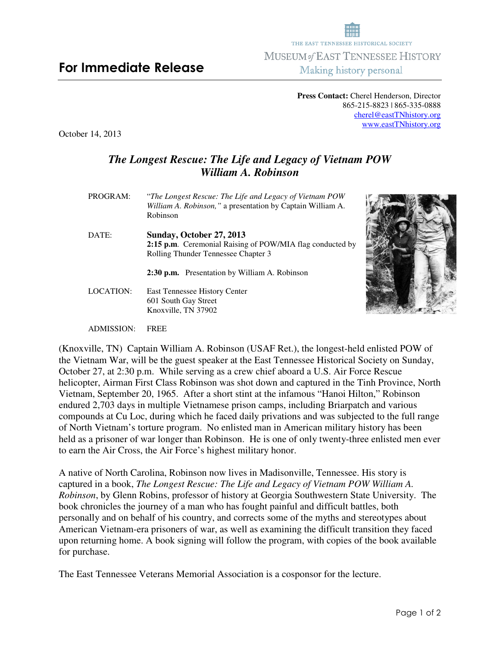**Press Contact:** Cherel Henderson, Director 865-215-8823 | 865-335-0888 cherel@eastTNhistory.org www.eastTNhistory.org

October 14, 2013

## *The Longest Rescue: The Life and Legacy of Vietnam POW William A. Robinson*

| PROGRAM:  | "The Longest Rescue: The Life and Legacy of Vietnam POW<br>William A. Robinson," a presentation by Captain William A.<br>Robinson |  |
|-----------|-----------------------------------------------------------------------------------------------------------------------------------|--|
| DATE:     | Sunday, October 27, 2013                                                                                                          |  |
|           | 2:15 p.m. Ceremonial Raising of POW/MIA flag conducted by                                                                         |  |
|           | Rolling Thunder Tennessee Chapter 3                                                                                               |  |
| LOCATION: | 2:30 p.m. Presentation by William A. Robinson                                                                                     |  |
|           | East Tennessee History Center                                                                                                     |  |
|           | 601 South Gay Street                                                                                                              |  |
|           | Knoxville, TN 37902                                                                                                               |  |

ADMISSION: FREE

(Knoxville, TN) Captain William A. Robinson (USAF Ret.), the longest-held enlisted POW of the Vietnam War, will be the guest speaker at the East Tennessee Historical Society on Sunday, October 27, at 2:30 p.m. While serving as a crew chief aboard a U.S. Air Force Rescue helicopter, Airman First Class Robinson was shot down and captured in the Tinh Province, North Vietnam, September 20, 1965. After a short stint at the infamous "Hanoi Hilton," Robinson endured 2,703 days in multiple Vietnamese prison camps, including Briarpatch and various compounds at Cu Loc, during which he faced daily privations and was subjected to the full range of North Vietnam's torture program. No enlisted man in American military history has been held as a prisoner of war longer than Robinson. He is one of only twenty-three enlisted men ever to earn the Air Cross, the Air Force's highest military honor.

A native of North Carolina, Robinson now lives in Madisonville, Tennessee. His story is captured in a book, *The Longest Rescue: The Life and Legacy of Vietnam POW William A. Robinson*, by Glenn Robins, professor of history at Georgia Southwestern State University. The book chronicles the journey of a man who has fought painful and difficult battles, both personally and on behalf of his country, and corrects some of the myths and stereotypes about American Vietnam-era prisoners of war, as well as examining the difficult transition they faced upon returning home. A book signing will follow the program, with copies of the book available for purchase.

The East Tennessee Veterans Memorial Association is a cosponsor for the lecture.